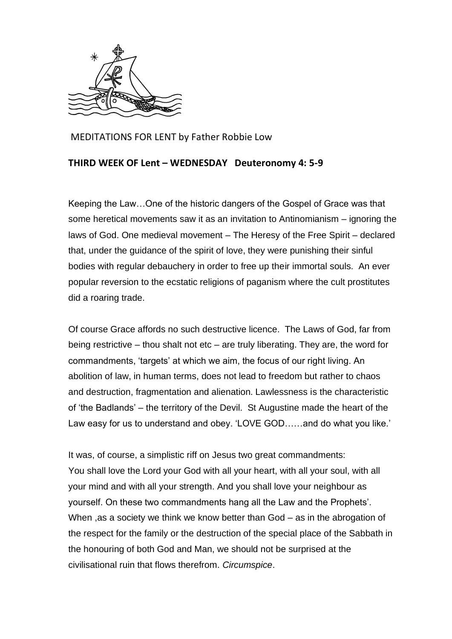

MEDITATIONS FOR LENT by Father Robbie Low

## **THIRD WEEK OF Lent – WEDNESDAY Deuteronomy 4: 5-9**

Keeping the Law…One of the historic dangers of the Gospel of Grace was that some heretical movements saw it as an invitation to Antinomianism – ignoring the laws of God. One medieval movement – The Heresy of the Free Spirit – declared that, under the guidance of the spirit of love, they were punishing their sinful bodies with regular debauchery in order to free up their immortal souls. An ever popular reversion to the ecstatic religions of paganism where the cult prostitutes did a roaring trade.

Of course Grace affords no such destructive licence. The Laws of God, far from being restrictive – thou shalt not etc – are truly liberating. They are, the word for commandments, 'targets' at which we aim, the focus of our right living. An abolition of law, in human terms, does not lead to freedom but rather to chaos and destruction, fragmentation and alienation. Lawlessness is the characteristic of 'the Badlands' – the territory of the Devil. St Augustine made the heart of the Law easy for us to understand and obey. 'LOVE GOD……and do what you like.'

It was, of course, a simplistic riff on Jesus two great commandments: You shall love the Lord your God with all your heart, with all your soul, with all your mind and with all your strength. And you shall love your neighbour as yourself. On these two commandments hang all the Law and the Prophets'. When ,as a society we think we know better than God – as in the abrogation of the respect for the family or the destruction of the special place of the Sabbath in the honouring of both God and Man, we should not be surprised at the civilisational ruin that flows therefrom. *Circumspice*.